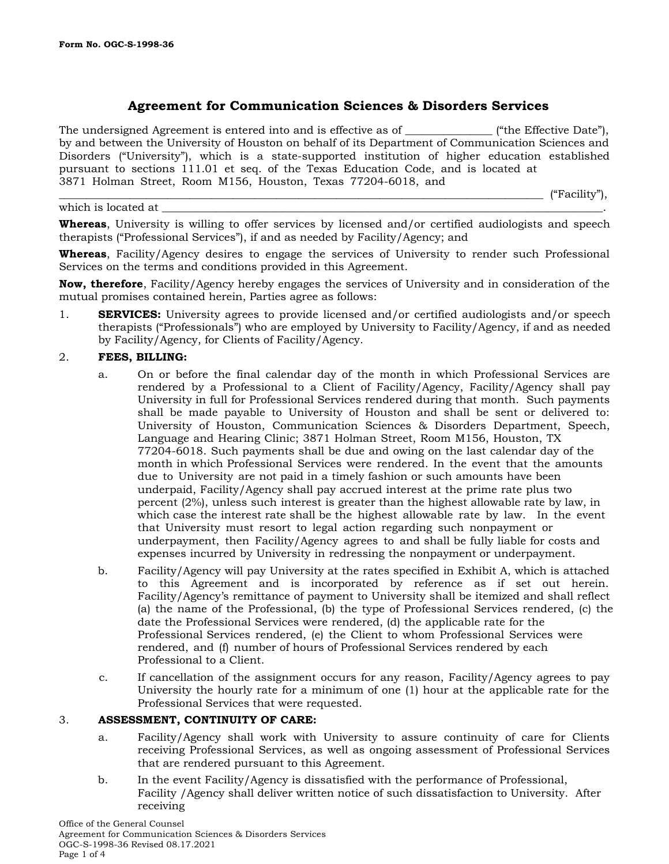which is located at

# **Agreement for Communication Sciences & Disorders Services**

The undersigned Agreement is entered into and is effective as of  $($ "the Effective Date"), by and between the University of Houston on behalf of its Department of Communication Sciences and Disorders ("University"), which is a state-supported institution of higher education established pursuant to sections 111.01 et seq. of the Texas Education Code, and is located at 3871 Holman Street, Room M156, Houston, Texas 77204-6018, and

 $\Gamma$  ("Facility"),

**Whereas**, University is willing to offer services by licensed and/or certified audiologists and speech therapists ("Professional Services"), if and as needed by Facility/Agency; and

**Whereas**, Facility/Agency desires to engage the services of University to render such Professional Services on the terms and conditions provided in this Agreement.

**Now, therefore**, Facility/Agency hereby engages the services of University and in consideration of the mutual promises contained herein, Parties agree as follows:

1. **SERVICES:** University agrees to provide licensed and/or certified audiologists and/or speech therapists ("Professionals") who are employed by University to Facility/Agency, if and as needed by Facility/Agency, for Clients of Facility/Agency.

#### 2. **FEES, BILLING:**

- a. On or before the final calendar day of the month in which Professional Services are rendered by a Professional to a Client of Facility/Agency, Facility/Agency shall pay University in full for Professional Services rendered during that month. Such payments shall be made payable to University of Houston and shall be sent or delivered to: University of Houston, Communication Sciences & Disorders Department, Speech, Language and Hearing Clinic; 3871 Holman Street, Room M156, Houston, TX 77204-6018. Such payments shall be due and owing on the last calendar day of the month in which Professional Services were rendered. In the event that the amounts due to University are not paid in a timely fashion or such amounts have been underpaid, Facility/Agency shall pay accrued interest at the prime rate plus two percent (2%), unless such interest is greater than the highest allowable rate by law, in which case the interest rate shall be the highest allowable rate by law. In the event that University must resort to legal action regarding such nonpayment or underpayment, then Facility/Agency agrees to and shall be fully liable for costs and expenses incurred by University in redressing the nonpayment or underpayment.
- b. Facility/Agency will pay University at the rates specified in Exhibit A, which is attached to this Agreement and is incorporated by reference as if set out herein. Facility/Agency's remittance of payment to University shall be itemized and shall reflect (a) the name of the Professional, (b) the type of Professional Services rendered, (c) the date the Professional Services were rendered, (d) the applicable rate for the Professional Services rendered, (e) the Client to whom Professional Services were rendered, and (f) number of hours of Professional Services rendered by each Professional to a Client.
- c. If cancellation of the assignment occurs for any reason, Facility/Agency agrees to pay University the hourly rate for a minimum of one (1) hour at the applicable rate for the Professional Services that were requested.

#### 3. **ASSESSMENT, CONTINUITY OF CARE:**

- a. Facility/Agency shall work with University to assure continuity of care for Clients receiving Professional Services, as well as ongoing assessment of Professional Services that are rendered pursuant to this Agreement.
- b. In the event Facility/Agency is dissatisfied with the performance of Professional, Facility /Agency shall deliver written notice of such dissatisfaction to University. After receiving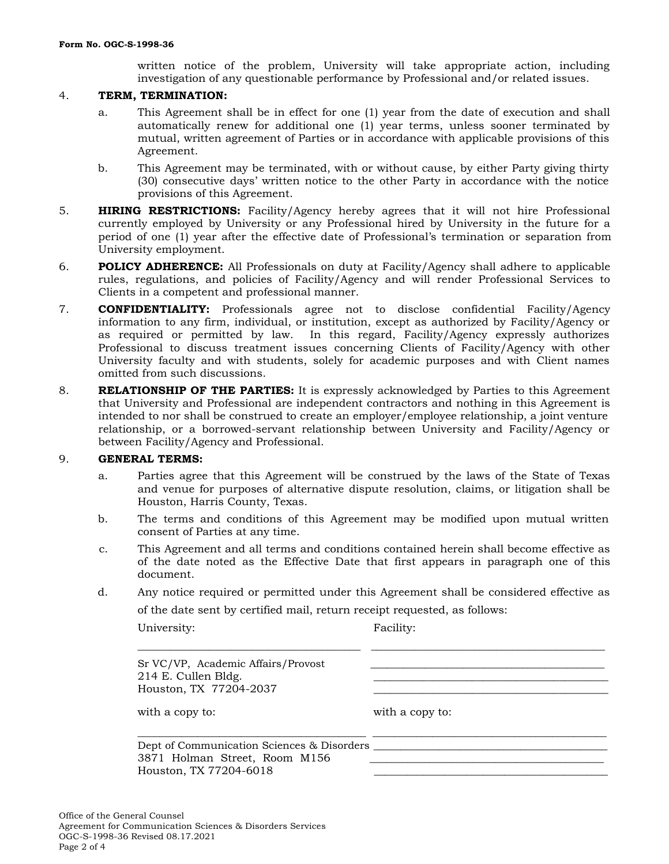written notice of the problem, University will take appropriate action, including investigation of any questionable performance by Professional and/or related issues.

#### 4. **TERM, TERMINATION:**

- a. This Agreement shall be in effect for one (1) year from the date of execution and shall automatically renew for additional one (1) year terms, unless sooner terminated by mutual, written agreement of Parties or in accordance with applicable provisions of this Agreement.
- b. This Agreement may be terminated, with or without cause, by either Party giving thirty (30) consecutive days' written notice to the other Party in accordance with the notice provisions of this Agreement.
- 5. **HIRING RESTRICTIONS:** Facility/Agency hereby agrees that it will not hire Professional currently employed by University or any Professional hired by University in the future for a period of one (1) year after the effective date of Professional's termination or separation from University employment.
- 6. **POLICY ADHERENCE:** All Professionals on duty at Facility/Agency shall adhere to applicable rules, regulations, and policies of Facility/Agency and will render Professional Services to Clients in a competent and professional manner.
- 7. **CONFIDENTIALITY:** Professionals agree not to disclose confidential Facility/Agency information to any firm, individual, or institution, except as authorized by Facility/Agency or as required or permitted by law. In this regard, Facility/Agency expressly authorizes Professional to discuss treatment issues concerning Clients of Facility/Agency with other University faculty and with students, solely for academic purposes and with Client names omitted from such discussions.
- 8. **RELATIONSHIP OF THE PARTIES:** It is expressly acknowledged by Parties to this Agreement that University and Professional are independent contractors and nothing in this Agreement is intended to nor shall be construed to create an employer/employee relationship, a joint venture relationship, or a borrowed-servant relationship between University and Facility/Agency or between Facility/Agency and Professional.

#### 9. **GENERAL TERMS:**

- a. Parties agree that this Agreement will be construed by the laws of the State of Texas and venue for purposes of alternative dispute resolution, claims, or litigation shall be Houston, Harris County, Texas.
- b. The terms and conditions of this Agreement may be modified upon mutual written consent of Parties at any time.
- c. This Agreement and all terms and conditions contained herein shall become effective as of the date noted as the Effective Date that first appears in paragraph one of this document.
- d. Any notice required or permitted under this Agreement shall be considered effective as

\_\_\_\_\_\_\_\_\_\_\_\_\_\_\_\_\_\_\_\_\_\_\_\_\_\_\_\_\_\_\_\_\_\_\_\_\_\_\_\_\_ \_\_\_\_\_\_\_\_\_\_\_\_\_\_\_\_\_\_\_\_\_\_\_\_\_\_\_\_\_\_\_\_\_\_\_\_\_\_\_\_\_\_\_

\_\_\_\_\_\_\_\_\_\_\_\_\_\_\_\_\_\_\_\_\_\_\_\_\_\_\_\_\_\_\_\_\_\_\_\_\_\_\_\_\_\_ \_\_\_\_\_\_\_\_\_\_\_\_\_\_\_\_\_\_\_\_\_\_\_\_\_\_\_\_\_\_\_\_\_\_\_\_\_\_\_\_\_\_\_

of the date sent by certified mail, return receipt requested, as follows:

| University |  |
|------------|--|
|            |  |

Facility:

Sr VC/VP, Academic Affairs/Provost  $214$  E. Cullen Bldg. Houston, TX 77204-2037

with a copy to: with a copy to:

Dept of Communication Sciences & Disorders \_\_\_\_\_\_\_\_\_\_\_\_\_\_\_\_\_\_\_\_\_\_\_\_\_\_\_\_\_\_\_\_\_\_\_\_\_\_\_\_\_\_\_ 3871 Holman Street, Room M156 Houston, TX 77204-6018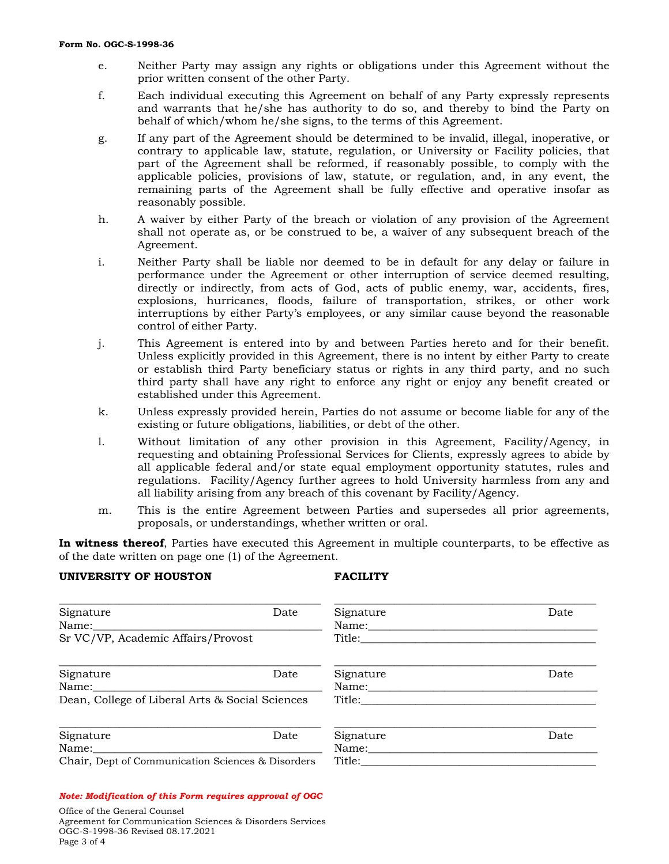- e. Neither Party may assign any rights or obligations under this Agreement without the prior written consent of the other Party.
- f. Each individual executing this Agreement on behalf of any Party expressly represents and warrants that he/she has authority to do so, and thereby to bind the Party on behalf of which/whom he/she signs, to the terms of this Agreement.
- g. If any part of the Agreement should be determined to be invalid, illegal, inoperative, or contrary to applicable law, statute, regulation, or University or Facility policies, that part of the Agreement shall be reformed, if reasonably possible, to comply with the applicable policies, provisions of law, statute, or regulation, and, in any event, the remaining parts of the Agreement shall be fully effective and operative insofar as reasonably possible.
- h. A waiver by either Party of the breach or violation of any provision of the Agreement shall not operate as, or be construed to be, a waiver of any subsequent breach of the Agreement.
- i. Neither Party shall be liable nor deemed to be in default for any delay or failure in performance under the Agreement or other interruption of service deemed resulting, directly or indirectly, from acts of God, acts of public enemy, war, accidents, fires, explosions, hurricanes, floods, failure of transportation, strikes, or other work interruptions by either Party's employees, or any similar cause beyond the reasonable control of either Party.
- j. This Agreement is entered into by and between Parties hereto and for their benefit. Unless explicitly provided in this Agreement, there is no intent by either Party to create or establish third Party beneficiary status or rights in any third party, and no such third party shall have any right to enforce any right or enjoy any benefit created or established under this Agreement.
- k. Unless expressly provided herein, Parties do not assume or become liable for any of the existing or future obligations, liabilities, or debt of the other.
- l. Without limitation of any other provision in this Agreement, Facility/Agency, in requesting and obtaining Professional Services for Clients, expressly agrees to abide by all applicable federal and/or state equal employment opportunity statutes, rules and regulations. Facility/Agency further agrees to hold University harmless from any and all liability arising from any breach of this covenant by Facility/Agency.
- m. This is the entire Agreement between Parties and supersedes all prior agreements, proposals, or understandings, whether written or oral.

**In witness thereof**, Parties have executed this Agreement in multiple counterparts, to be effective as of the date written on page one (1) of the Agreement.

#### **UNIVERSITY OF HOUSTON FACILITY**

| Signature<br>Name:                                       | Date | Signature<br>Name: | Date |
|----------------------------------------------------------|------|--------------------|------|
| Sr VC/VP, Academic Affairs/Provost                       |      | Title:             |      |
| Signature                                                | Date | Signature          | Date |
| Name:<br>Dean, College of Liberal Arts & Social Sciences |      | Name:<br>Title:    |      |
| Signature                                                | Date | Signature          | Date |
| Name:                                                    |      | Name:              |      |
| Chair, Dept of Communication Sciences & Disorders        |      | Title:             |      |

### *Note: Modification of this Form requires approval of OGC*